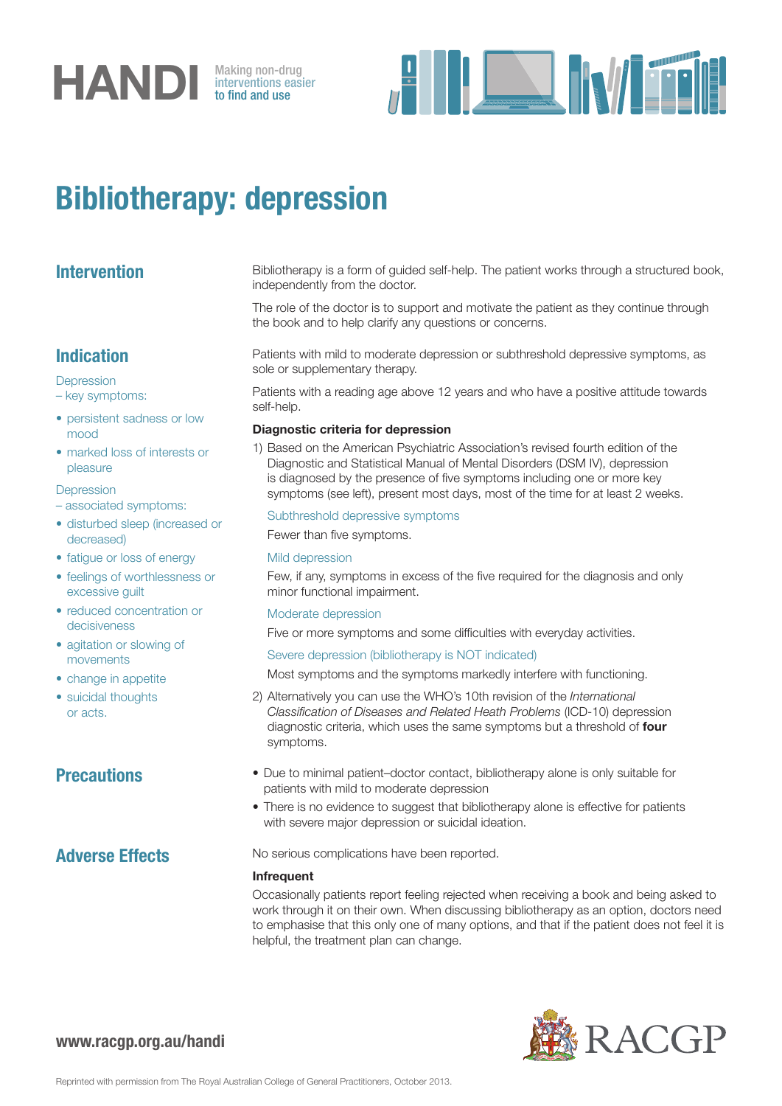

interventions easier to find and use



## Bibliotherapy: depression

| <b>Intervention</b> |  |
|---------------------|--|
|                     |  |

Bibliotherapy is a form of guided self-help. The patient works through a structured book, independently from the doctor.

The role of the doctor is to support and motivate the patient as they continue through the book and to help clarify any questions or concerns.

## Indication

**Depression** 

– key symptoms:

- persistent sadness or low mood
- marked loss of interests or pleasure

**Depression** 

- associated symptoms:
- disturbed sleep (increased or decreased)
- fatigue or loss of energy
- feelings of worthlessness or excessive guilt
- reduced concentration or decisiveness
- agitation or slowing of movements
- change in appetite
- suicidal thoughts or acts.

Patients with mild to moderate depression or subthreshold depressive symptoms, as sole or supplementary therapy.

Patients with a reading age above 12 years and who have a positive attitude towards self-help.

### Diagnostic criteria for depression

1) Based on the American Psychiatric Association's revised fourth edition of the Diagnostic and Statistical Manual of Mental Disorders (DSM IV), depression is diagnosed by the presence of five symptoms including one or more key symptoms (see left), present most days, most of the time for at least 2 weeks.

### Subthreshold depressive symptoms

Fewer than five symptoms.

### Mild depression

Few, if any, symptoms in excess of the five required for the diagnosis and only minor functional impairment.

### Moderate depression

Five or more symptoms and some difficulties with everyday activities.

### Severe depression (bibliotherapy is NOT indicated)

Most symptoms and the symptoms markedly interfere with functioning.

- 2) Alternatively you can use the WHO's 10th revision of the *International Classification of Diseases and Related Heath Problems* (ICD-10) depression diagnostic criteria, which uses the same symptoms but a threshold of four symptoms.
- **Precautions** Due to minimal patient–doctor contact, bibliotherapy alone is only suitable for patients with mild to moderate depression
	- There is no evidence to suggest that bibliotherapy alone is effective for patients with severe major depression or suicidal ideation.

Adverse Effects No serious complications have been reported.

### Infrequent

Occasionally patients report feeling rejected when receiving a book and being asked to work through it on their own. When discussing bibliotherapy as an option, doctors need to emphasise that this only one of many options, and that if the patient does not feel it is helpful, the treatment plan can change.



www.racgp.org.au/handi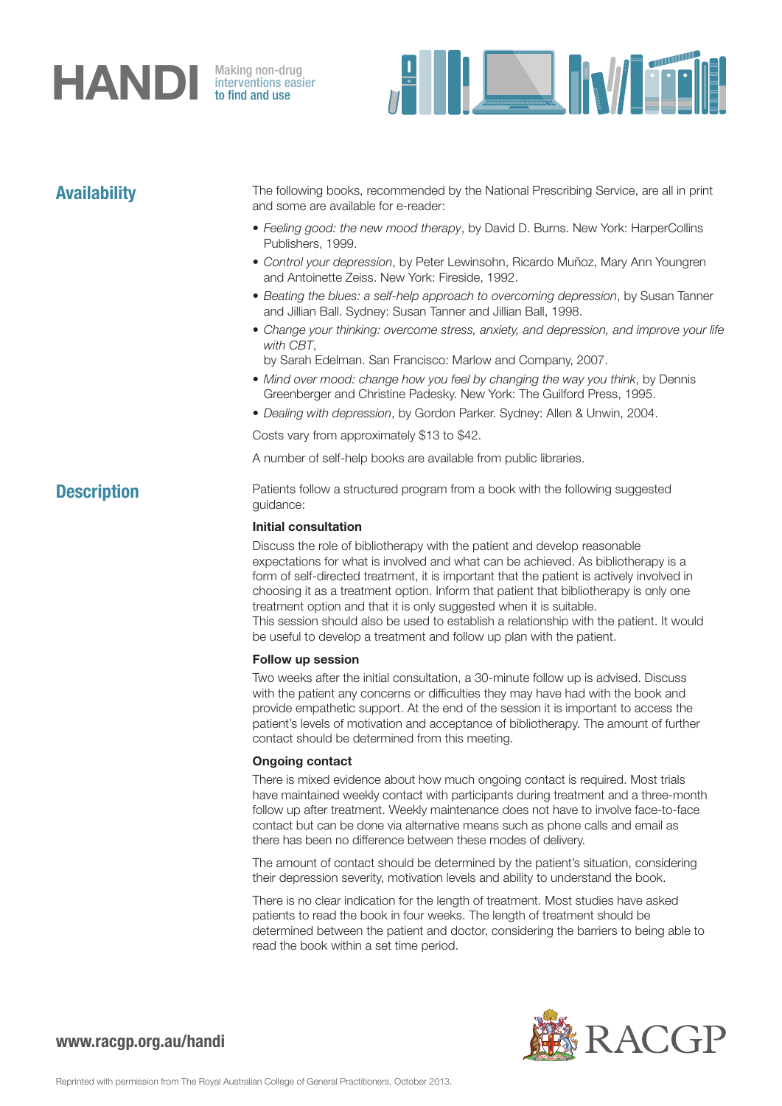# **HANDI** Making non-drug<br>to find and use

interventions easier to find and use



Availability The following books, recommended by the National Prescribing Service, are all in print and some are available for e-reader:

- *Feeling good: the new mood therapy*, by David D. Burns. New York: HarperCollins Publishers, 1999.
- *Control your depression*, by Peter Lewinsohn, Ricardo Muñoz, Mary Ann Youngren and Antoinette Zeiss. New York: Fireside, 1992.
- *Beating the blues: a self-help approach to overcoming depression*, by Susan Tanner and Jillian Ball. Sydney: Susan Tanner and Jillian Ball, 1998.
- *Change your thinking: overcome stress, anxiety, and depression, and improve your life with CBT*,
	- by Sarah Edelman. San Francisco: Marlow and Company, 2007.
- *Mind over mood: change how you feel by changing the way you think*, by Dennis Greenberger and Christine Padesky. New York: The Guilford Press, 1995.
- *Dealing with depression*, by Gordon Parker. Sydney: Allen & Unwin, 2004.

Costs vary from approximately \$13 to \$42.

A number of self-help books are available from public libraries.

**Description** Patients follow a structured program from a book with the following suggested guidance:

### Initial consultation

Discuss the role of bibliotherapy with the patient and develop reasonable expectations for what is involved and what can be achieved. As bibliotherapy is a form of self-directed treatment, it is important that the patient is actively involved in choosing it as a treatment option. Inform that patient that bibliotherapy is only one treatment option and that it is only suggested when it is suitable. This session should also be used to establish a relationship with the patient. It would be useful to develop a treatment and follow up plan with the patient.

### Follow up session

Two weeks after the initial consultation, a 30-minute follow up is advised. Discuss with the patient any concerns or difficulties they may have had with the book and provide empathetic support. At the end of the session it is important to access the patient's levels of motivation and acceptance of bibliotherapy. The amount of further contact should be determined from this meeting.

### Ongoing contact

There is mixed evidence about how much ongoing contact is required. Most trials have maintained weekly contact with participants during treatment and a three-month follow up after treatment. Weekly maintenance does not have to involve face-to-face contact but can be done via alternative means such as phone calls and email as there has been no difference between these modes of delivery.

The amount of contact should be determined by the patient's situation, considering their depression severity, motivation levels and ability to understand the book.

There is no clear indication for the length of treatment. Most studies have asked patients to read the book in four weeks. The length of treatment should be determined between the patient and doctor, considering the barriers to being able to read the book within a set time period.



## www.racgp.org.au/handi